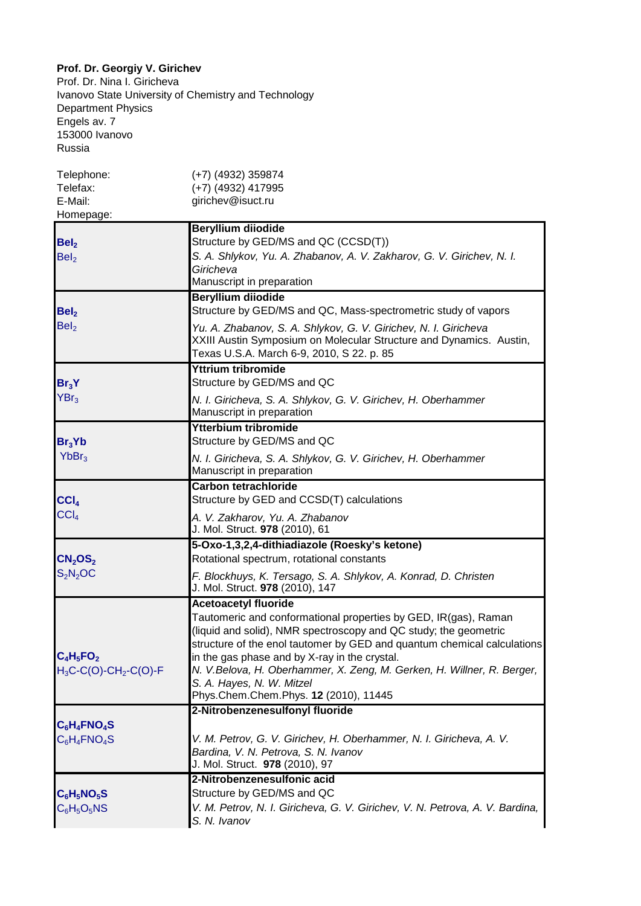## **Prof. Dr. Georgiy V. Girichev**

Prof. Dr. Nina I. Giricheva Ivanovo State University of Chemistry and Technology Department Physics Engels av. 7 153000 Ivanovo Russia

| Telephone:<br>Telefax:                        | $(+7)$ (4932) 359874<br>(+7) (4932) 417995                                                                                                                                                                                                                                                                                                                                                                                                     |
|-----------------------------------------------|------------------------------------------------------------------------------------------------------------------------------------------------------------------------------------------------------------------------------------------------------------------------------------------------------------------------------------------------------------------------------------------------------------------------------------------------|
| E-Mail:<br>Homepage:                          | girichev@isuct.ru                                                                                                                                                                                                                                                                                                                                                                                                                              |
| Bel <sub>2</sub><br>Bel <sub>2</sub>          | <b>Beryllium diiodide</b><br>Structure by GED/MS and QC (CCSD(T))<br>S. A. Shlykov, Yu. A. Zhabanov, A. V. Zakharov, G. V. Girichev, N. I.<br>Giricheva<br>Manuscript in preparation                                                                                                                                                                                                                                                           |
| Bel <sub>2</sub><br>Bel <sub>2</sub>          | <b>Beryllium diiodide</b><br>Structure by GED/MS and QC, Mass-spectrometric study of vapors<br>Yu. A. Zhabanov, S. A. Shlykov, G. V. Girichev, N. I. Giricheva<br>XXIII Austin Symposium on Molecular Structure and Dynamics. Austin,<br>Texas U.S.A. March 6-9, 2010, S 22. p. 85                                                                                                                                                             |
| Br <sub>3</sub> Y<br>YBr <sub>3</sub>         | <b>Yttrium tribromide</b><br>Structure by GED/MS and QC<br>N. I. Giricheva, S. A. Shlykov, G. V. Girichev, H. Oberhammer<br>Manuscript in preparation                                                                                                                                                                                                                                                                                          |
| Br <sub>3</sub> Yb<br>YbBr <sub>3</sub>       | <b>Ytterbium tribromide</b><br>Structure by GED/MS and QC<br>N. I. Giricheva, S. A. Shlykov, G. V. Girichev, H. Oberhammer<br>Manuscript in preparation                                                                                                                                                                                                                                                                                        |
| CCI <sub>4</sub><br>CCI <sub>4</sub>          | <b>Carbon tetrachloride</b><br>Structure by GED and CCSD(T) calculations<br>A. V. Zakharov, Yu. A. Zhabanov<br>J. Mol. Struct. 978 (2010), 61                                                                                                                                                                                                                                                                                                  |
| CN <sub>2</sub> OS <sub>2</sub><br>$S_2N_2OC$ | 5-Oxo-1,3,2,4-dithiadiazole (Roesky's ketone)<br>Rotational spectrum, rotational constants<br>F. Blockhuys, K. Tersago, S. A. Shlykov, A. Konrad, D. Christen<br>J. Mol. Struct. 978 (2010), 147                                                                                                                                                                                                                                               |
| $C_4H_5FO_2$<br>$H_3C-C(O)-CH_2-C(O)-F$       | <b>Acetoacetyl fluoride</b><br>Tautomeric and conformational properties by GED, IR(gas), Raman<br>(liquid and solid), NMR spectroscopy and QC study; the geometric<br>structure of the enol tautomer by GED and quantum chemical calculations<br>in the gas phase and by X-ray in the crystal.<br>N. V.Belova, H. Oberhammer, X. Zeng, M. Gerken, H. Willner, R. Berger,<br>S. A. Hayes, N. W. Mitzel<br>Phys.Chem.Chem.Phys. 12 (2010), 11445 |
| $C_6H_4$ FNO <sub>4</sub> S<br>$C_6H_4FNO_4S$ | 2-Nitrobenzenesulfonyl fluoride<br>V. M. Petrov, G. V. Girichev, H. Oberhammer, N. I. Giricheva, A. V.<br>Bardina, V. N. Petrova, S. N. Ivanov<br>J. Mol. Struct. 978 (2010), 97                                                                                                                                                                                                                                                               |
| $C_6H_5NO_5S$<br>$C_6H_5O_5NS$                | 2-Nitrobenzenesulfonic acid<br>Structure by GED/MS and QC<br>V. M. Petrov, N. I. Giricheva, G. V. Girichev, V. N. Petrova, A. V. Bardina,<br>S. N. Ivanov                                                                                                                                                                                                                                                                                      |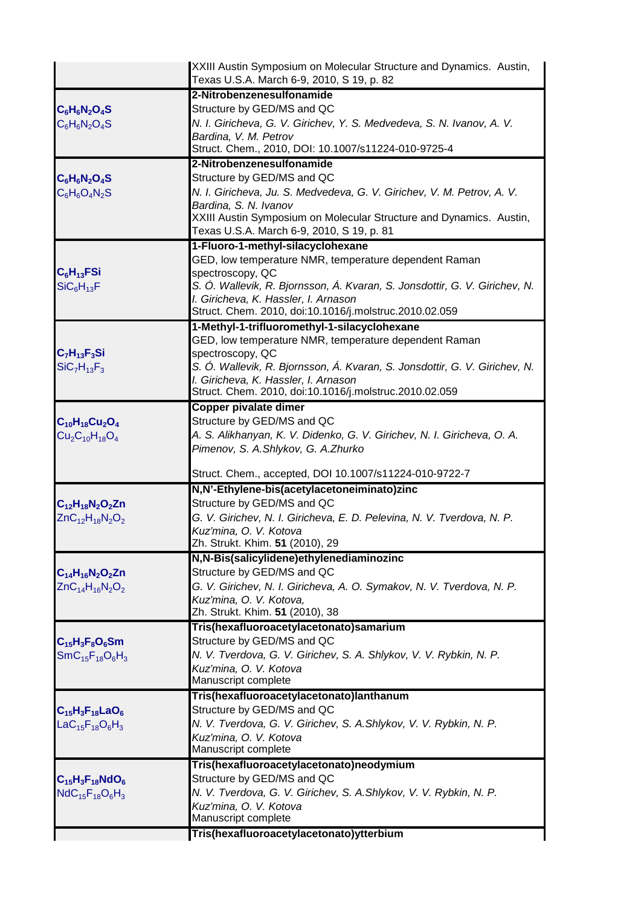|                                                      | XXIII Austin Symposium on Molecular Structure and Dynamics. Austin,<br>Texas U.S.A. March 6-9, 2010, S 19, p. 82 |
|------------------------------------------------------|------------------------------------------------------------------------------------------------------------------|
|                                                      | 2-Nitrobenzenesulfonamide                                                                                        |
| $C_6H_6N_2O_4S$<br>$C_6H_6N_2O_4S$                   | Structure by GED/MS and QC                                                                                       |
|                                                      | N. I. Giricheva, G. V. Girichev, Y. S. Medvedeva, S. N. Ivanov, A. V.                                            |
|                                                      | Bardina, V. M. Petrov                                                                                            |
|                                                      | Struct. Chem., 2010, DOI: 10.1007/s11224-010-9725-4                                                              |
|                                                      | 2-Nitrobenzenesulfonamide                                                                                        |
| $C_6H_6N_2O_4S$<br>$C_6H_6O_4N_2S$                   | Structure by GED/MS and QC                                                                                       |
|                                                      | N. I. Giricheva, Ju. S. Medvedeva, G. V. Girichev, V. M. Petrov, A. V.                                           |
|                                                      | Bardina, S. N. Ivanov                                                                                            |
|                                                      | XXIII Austin Symposium on Molecular Structure and Dynamics. Austin,                                              |
|                                                      | Texas U.S.A. March 6-9, 2010, S 19, p. 81                                                                        |
|                                                      | 1-Fluoro-1-methyl-silacyclohexane                                                                                |
|                                                      | GED, low temperature NMR, temperature dependent Raman<br>spectroscopy, QC                                        |
| $C_6H_{13}FSi$<br>SiC <sub>6</sub> H <sub>13</sub> F | S. Ó. Wallevik, R. Bjornsson, Á. Kvaran, S. Jonsdottir, G. V. Girichev, N.                                       |
|                                                      | I. Giricheva, K. Hassler, I. Arnason                                                                             |
|                                                      | Struct. Chem. 2010, doi:10.1016/j.molstruc.2010.02.059                                                           |
|                                                      | 1-Methyl-1-trifluoromethyl-1-silacyclohexane                                                                     |
|                                                      | GED, low temperature NMR, temperature dependent Raman                                                            |
| $C_7H_{13}F_3Si$                                     | spectroscopy, QC                                                                                                 |
| $SiC7H13F3$                                          | S. Ó. Wallevik, R. Bjornsson, Á. Kvaran, S. Jonsdottir, G. V. Girichev, N.                                       |
|                                                      | I. Giricheva, K. Hassler, I. Arnason<br>Struct. Chem. 2010, doi:10.1016/j.molstruc.2010.02.059                   |
|                                                      | <b>Copper pivalate dimer</b>                                                                                     |
| $C_{10}H_{18}Cu_2O_4$                                | Structure by GED/MS and QC                                                                                       |
| $Cu2C10H18O4$                                        | A. S. Alikhanyan, K. V. Didenko, G. V. Girichev, N. I. Giricheva, O. A.                                          |
|                                                      | Pimenov, S. A.Shlykov, G. A.Zhurko                                                                               |
|                                                      |                                                                                                                  |
|                                                      | Struct. Chem., accepted, DOI 10.1007/s11224-010-9722-7                                                           |
|                                                      | N,N'-Ethylene-bis(acetylacetoneiminato)zinc<br>Structure by GED/MS and QC                                        |
| $C_{12}H_{18}N_2O_2Zn$<br>$ZnC_{12}H_{18}N_{2}O_{2}$ | G. V. Girichev, N. I. Giricheva, E. D. Pelevina, N. V. Tverdova, N. P.                                           |
|                                                      | Kuz'mina, O. V. Kotova                                                                                           |
|                                                      | Zh. Strukt. Khim. 51 (2010), 29                                                                                  |
|                                                      | N,N-Bis(salicylidene)ethylenediaminozinc                                                                         |
| $C_{14}H_{16}N_2O_2Zn$                               | Structure by GED/MS and QC                                                                                       |
| $ZnC_{14}H_{16}N_2O_2$                               | G. V. Girichev, N. I. Giricheva, A. O. Symakov, N. V. Tverdova, N. P.                                            |
|                                                      | Kuz'mina, O. V. Kotova,                                                                                          |
|                                                      | Zh. Strukt. Khim. 51 (2010), 38                                                                                  |
|                                                      | Tris(hexafluoroacetylacetonato)samarium<br>Structure by GED/MS and QC                                            |
| $C_{15}H_3F_8O_6Sm$<br>$SmC_{15}F_{18}O_6H_3$        | N. V. Tverdova, G. V. Girichev, S. A. Shlykov, V. V. Rybkin, N. P.                                               |
|                                                      | Kuz'mina, O. V. Kotova                                                                                           |
|                                                      | Manuscript complete                                                                                              |
|                                                      | Tris(hexafluoroacetylacetonato)lanthanum                                                                         |
| $C_{15}H_3F_{18}LaO_6$                               | Structure by GED/MS and QC                                                                                       |
| La $C_{15}F_{18}O_6H_3$                              | N. V. Tverdova, G. V. Girichev, S. A. Shlykov, V. V. Rybkin, N. P.                                               |
|                                                      | Kuz'mina, O. V. Kotova                                                                                           |
|                                                      | Manuscript complete                                                                                              |
| $C_{15}H_3F_{18}NdO_6$<br>$NdC_{15}F_{18}O_6H_3$     | Tris(hexafluoroacetylacetonato)neodymium                                                                         |
|                                                      | Structure by GED/MS and QC                                                                                       |
|                                                      | N. V. Tverdova, G. V. Girichev, S. A. Shlykov, V. V. Rybkin, N. P.<br>Kuz'mina, O. V. Kotova                     |
|                                                      | Manuscript complete                                                                                              |
|                                                      | Tris(hexafluoroacetylacetonato)ytterbium                                                                         |
|                                                      |                                                                                                                  |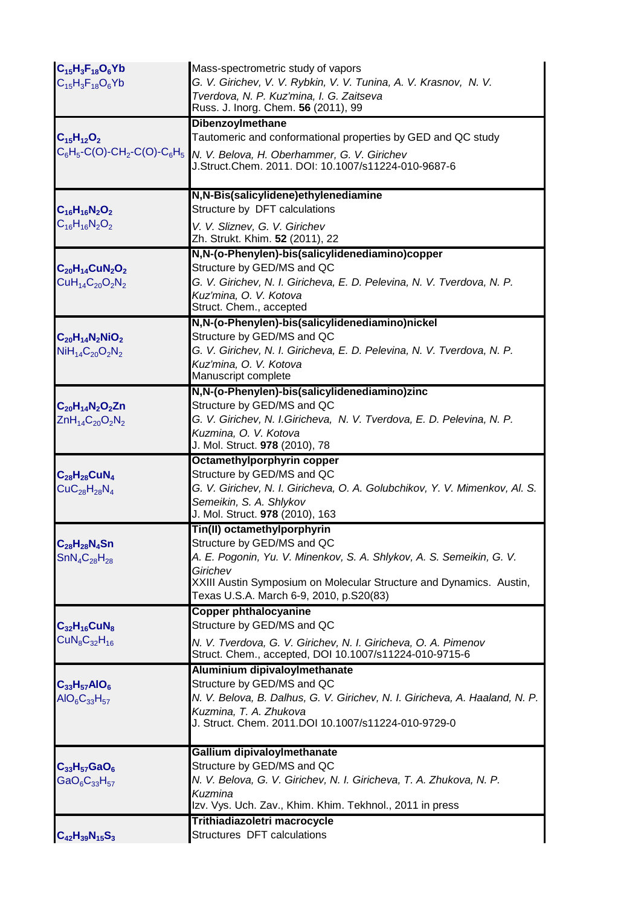| $C_{15}H_3F_{18}O_6Yb$<br>$C_{15}H_3F_{18}O_6Yb$                                              | Mass-spectrometric study of vapors<br>G. V. Girichev, V. V. Rybkin, V. V. Tunina, A. V. Krasnov, N. V.<br>Tverdova, N. P. Kuz'mina, I. G. Zaitseva<br>Russ. J. Inorg. Chem. 56 (2011), 99                                                                       |
|-----------------------------------------------------------------------------------------------|-----------------------------------------------------------------------------------------------------------------------------------------------------------------------------------------------------------------------------------------------------------------|
| $C_{15}H_{12}O_2$<br>$C_6H_5$ -C(O)-CH <sub>2</sub> -C(O)-C $_6H_5$                           | <b>Dibenzoylmethane</b><br>Tautomeric and conformational properties by GED and QC study<br>N. V. Belova, H. Oberhammer, G. V. Girichev<br>J.Struct.Chem. 2011. DOI: 10.1007/s11224-010-9687-6                                                                   |
| $C_{16}H_{16}N_2O_2$<br>$C_{16}H_{16}N_2O_2$                                                  | N,N-Bis(salicylidene)ethylenediamine<br>Structure by DFT calculations<br>V. V. Sliznev, G. V. Girichev<br>Zh. Strukt. Khim. 52 (2011), 22                                                                                                                       |
| $C_{20}H_{14}CuN_2O_2$<br>$CuH_{14}C_{20}O_2N_2$                                              | N,N-(o-Phenylen)-bis(salicylidenediamino)copper<br>Structure by GED/MS and QC<br>G. V. Girichev, N. I. Giricheva, E. D. Pelevina, N. V. Tverdova, N. P.<br>Kuz'mina, O. V. Kotova<br>Struct. Chem., accepted                                                    |
| $C_{20}H_{14}N_2NiO_2$<br>$NiH_{14}C_{20}O_2N_2$                                              | N,N-(o-Phenylen)-bis(salicylidenediamino)nickel<br>Structure by GED/MS and QC<br>G. V. Girichev, N. I. Giricheva, E. D. Pelevina, N. V. Tverdova, N. P.<br>Kuz'mina, O. V. Kotova<br>Manuscript complete                                                        |
| $C_{20}H_{14}N_{2}O_{2}Zn$<br>ZnH <sub>14</sub> C <sub>20</sub> O <sub>2</sub> N <sub>2</sub> | N,N-(o-Phenylen)-bis(salicylidenediamino)zinc<br>Structure by GED/MS and QC<br>G. V. Girichev, N. I. Giricheva, N. V. Tverdova, E. D. Pelevina, N. P.<br>Kuzmina, O. V. Kotova<br>J. Mol. Struct. 978 (2010), 78                                                |
| $C_{28}H_{28}CuN_4$<br>$CuC28H28N4$                                                           | Octamethylporphyrin copper<br>Structure by GED/MS and QC<br>G. V. Girichev, N. I. Giricheva, O. A. Golubchikov, Y. V. Mimenkov, Al. S.<br>Semeikin, S. A. Shlykov<br>J. Mol. Struct. 978 (2010), 163                                                            |
| $\mathsf{C}_{28}\mathsf{H}_{28}\mathsf{N}_4\mathsf{S}$ n<br>$SnN4C28H28$                      | Tin(II) octamethylporphyrin<br>Structure by GED/MS and QC<br>A. E. Pogonin, Yu. V. Minenkov, S. A. Shlykov, A. S. Semeikin, G. V.<br>Girichev<br>XXIII Austin Symposium on Molecular Structure and Dynamics. Austin,<br>Texas U.S.A. March 6-9, 2010, p.S20(83) |
| $C_{32}H_{16}CuN_8$<br>$CuN_8C_{32}H_{16}$                                                    | <b>Copper phthalocyanine</b><br>Structure by GED/MS and QC<br>N. V. Tverdova, G. V. Girichev, N. I. Giricheva, O. A. Pimenov<br>Struct. Chem., accepted, DOI 10.1007/s11224-010-9715-6                                                                          |
| $C_{33}H_{57}AlO_6$<br>$AIO6C33H57$                                                           | Aluminium dipivaloylmethanate<br>Structure by GED/MS and QC<br>N. V. Belova, B. Dalhus, G. V. Girichev, N. I. Giricheva, A. Haaland, N. P.<br>Kuzmina, T. A. Zhukova<br>J. Struct. Chem. 2011.DOI 10.1007/s11224-010-9729-0                                     |
| $C_{33}H_{57}GaO_6$<br>$GaO_6C_{33}H_{57}$                                                    | Gallium dipivaloylmethanate<br>Structure by GED/MS and QC<br>N. V. Belova, G. V. Girichev, N. I. Giricheva, T. A. Zhukova, N. P.<br>Kuzmina<br>Izv. Vys. Uch. Zav., Khim. Khim. Tekhnol., 2011 in press                                                         |
| $C_{42}H_{39}N_{15}S_3$                                                                       | Trithiadiazoletri macrocycle<br>Structures DFT calculations                                                                                                                                                                                                     |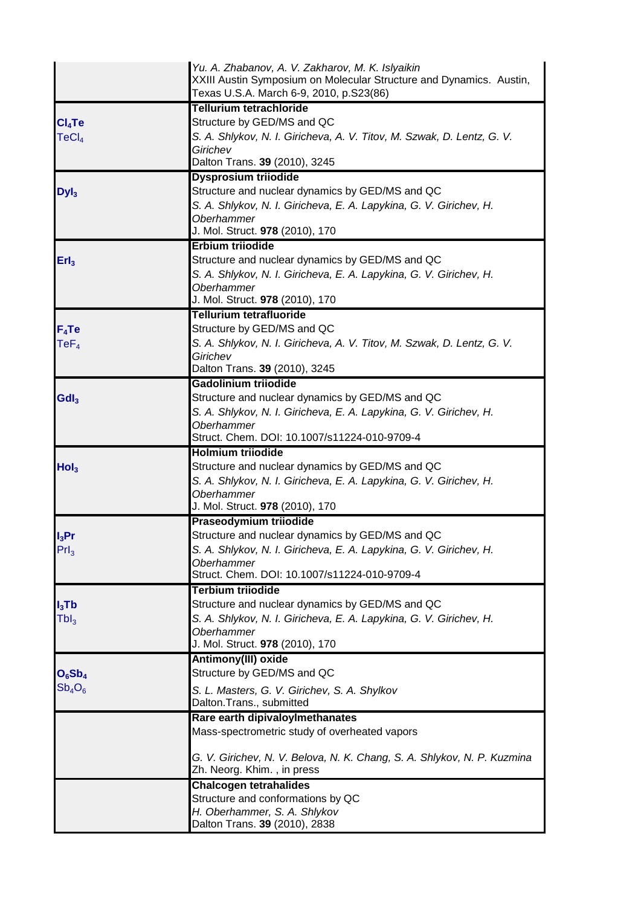|                    | Yu. A. Zhabanov, A. V. Zakharov, M. K. Islyaikin<br>XXIII Austin Symposium on Molecular Structure and Dynamics. Austin,<br>Texas U.S.A. March 6-9, 2010, p.S23(86) |
|--------------------|--------------------------------------------------------------------------------------------------------------------------------------------------------------------|
|                    | <b>Tellurium tetrachloride</b>                                                                                                                                     |
| Cl <sub>4</sub> Te | Structure by GED/MS and QC                                                                                                                                         |
| TeCl <sub>4</sub>  | S. A. Shlykov, N. I. Giricheva, A. V. Titov, M. Szwak, D. Lentz, G. V.                                                                                             |
|                    | Girichev                                                                                                                                                           |
|                    | Dalton Trans. 39 (2010), 3245                                                                                                                                      |
|                    | <b>Dysprosium triiodide</b>                                                                                                                                        |
| Dyl <sub>3</sub>   | Structure and nuclear dynamics by GED/MS and QC                                                                                                                    |
|                    | S. A. Shlykov, N. I. Giricheva, E. A. Lapykina, G. V. Girichev, H.                                                                                                 |
|                    | <b>Oberhammer</b>                                                                                                                                                  |
|                    | J. Mol. Struct. 978 (2010), 170                                                                                                                                    |
|                    | <b>Erbium triiodide</b>                                                                                                                                            |
| Erl <sub>3</sub>   | Structure and nuclear dynamics by GED/MS and QC                                                                                                                    |
|                    | S. A. Shlykov, N. I. Giricheva, E. A. Lapykina, G. V. Girichev, H.                                                                                                 |
|                    | <b>Oberhammer</b>                                                                                                                                                  |
|                    | J. Mol. Struct. 978 (2010), 170                                                                                                                                    |
|                    | <b>Tellurium tetrafluoride</b>                                                                                                                                     |
| $F_4Te$            | Structure by GED/MS and QC                                                                                                                                         |
| TeF <sub>4</sub>   | S. A. Shlykov, N. I. Giricheva, A. V. Titov, M. Szwak, D. Lentz, G. V.                                                                                             |
|                    | Girichev                                                                                                                                                           |
|                    | Dalton Trans. 39 (2010), 3245                                                                                                                                      |
|                    | Gadolinium triiodide                                                                                                                                               |
| GdI <sub>3</sub>   | Structure and nuclear dynamics by GED/MS and QC                                                                                                                    |
|                    | S. A. Shlykov, N. I. Giricheva, E. A. Lapykina, G. V. Girichev, H.                                                                                                 |
|                    | <b>Oberhammer</b>                                                                                                                                                  |
|                    | Struct. Chem. DOI: 10.1007/s11224-010-9709-4                                                                                                                       |
|                    | <b>Holmium triiodide</b>                                                                                                                                           |
| Hol <sub>3</sub>   | Structure and nuclear dynamics by GED/MS and QC                                                                                                                    |
|                    | S. A. Shlykov, N. I. Giricheva, E. A. Lapykina, G. V. Girichev, H.                                                                                                 |
|                    | <b>Oberhammer</b>                                                                                                                                                  |
|                    | J. Mol. Struct. 978 (2010), 170                                                                                                                                    |
|                    | <b>Praseodymium triiodide</b>                                                                                                                                      |
| $I_3$ Pr           | Structure and nuclear dynamics by GED/MS and QC                                                                                                                    |
| PrI <sub>3</sub>   | S. A. Shlykov, N. I. Giricheva, E. A. Lapykina, G. V. Girichev, H.                                                                                                 |
|                    | Oberhammer                                                                                                                                                         |
|                    | Struct. Chem. DOI: 10.1007/s11224-010-9709-4                                                                                                                       |
|                    | <b>Terbium trijodide</b>                                                                                                                                           |
| $I_3$ Tb           | Structure and nuclear dynamics by GED/MS and QC                                                                                                                    |
| Tbl <sub>3</sub>   | S. A. Shlykov, N. I. Giricheva, E. A. Lapykina, G. V. Girichev, H.                                                                                                 |
|                    | <b>Oberhammer</b>                                                                                                                                                  |
|                    | J. Mol. Struct. 978 (2010), 170                                                                                                                                    |
|                    | Antimony(III) oxide                                                                                                                                                |
| $O_6Sb_4$          | Structure by GED/MS and QC                                                                                                                                         |
| $Sb_4O_6$          | S. L. Masters, G. V. Girichev, S. A. Shylkov                                                                                                                       |
|                    | Dalton.Trans., submitted                                                                                                                                           |
|                    | Rare earth dipivaloylmethanates                                                                                                                                    |
|                    | Mass-spectrometric study of overheated vapors                                                                                                                      |
|                    |                                                                                                                                                                    |
|                    | G. V. Girichev, N. V. Belova, N. K. Chang, S. A. Shlykov, N. P. Kuzmina                                                                                            |
|                    | Zh. Neorg. Khim., in press                                                                                                                                         |
|                    | <b>Chalcogen tetrahalides</b>                                                                                                                                      |
|                    | Structure and conformations by QC                                                                                                                                  |
|                    | H. Oberhammer, S. A. Shlykov                                                                                                                                       |
|                    | Dalton Trans. 39 (2010), 2838                                                                                                                                      |